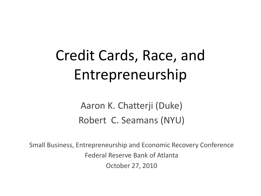# Credit Cards, Race, and Entrepreneurship

Aaron K. Chatterji (Duke) Robert C. Seamans (NYU)

Small Business, Entrepreneurship and Economic Recovery Conference Federal Reserve Bank of Atlanta October 27, 2010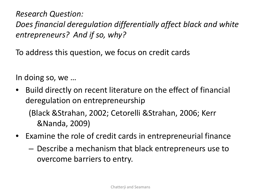*Research Question: Does financial deregulation differentially affect black and white entrepreneurs? And if so, why?*

To address this question, we focus on credit cards

In doing so, we …

- Build directly on recent literature on the effect of financial deregulation on entrepreneurship (Black &Strahan, 2002; Cetorelli &Strahan, 2006; Kerr &Nanda, 2009)
- Examine the role of credit cards in entrepreneurial finance
	- Describe a mechanism that black entrepreneurs use to overcome barriers to entry.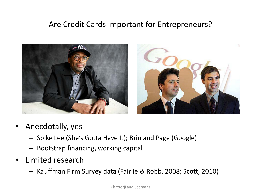#### Are Credit Cards Important for Entrepreneurs?



- Anecdotally, yes
	- Spike Lee (She's Gotta Have It); Brin and Page (Google)
	- Bootstrap financing, working capital
- Limited research
	- Kauffman Firm Survey data (Fairlie & Robb, 2008; Scott, 2010)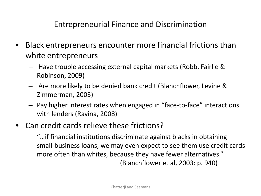Entrepreneurial Finance and Discrimination

- Black entrepreneurs encounter more financial frictions than white entrepreneurs
	- Have trouble accessing external capital markets (Robb, Fairlie & Robinson, 2009)
	- Are more likely to be denied bank credit (Blanchflower, Levine & Zimmerman, 2003)
	- Pay higher interest rates when engaged in "face-to-face" interactions with lenders (Ravina, 2008)
- Can credit cards relieve these frictions?

"…if financial institutions discriminate against blacks in obtaining small-business loans, we may even expect to see them use credit cards more often than whites, because they have fewer alternatives." (Blanchflower et al, 2003: p. 940)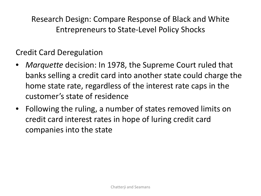Research Design: Compare Response of Black and White Entrepreneurs to State-Level Policy Shocks

Credit Card Deregulation

- *Marquette* decision: In 1978, the Supreme Court ruled that banks selling a credit card into another state could charge the home state rate, regardless of the interest rate caps in the customer's state of residence
- Following the ruling, a number of states removed limits on credit card interest rates in hope of luring credit card companies into the state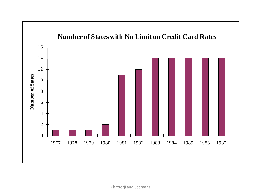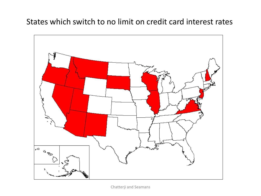#### States which switch to no limit on credit card interest rates



Chatterji and Seamans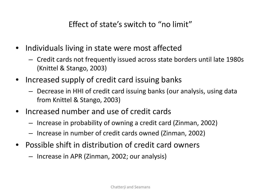Effect of state's switch to "no limit"

- Individuals living in state were most affected
	- Credit cards not frequently issued across state borders until late 1980s (Knittel & Stango, 2003)
- Increased supply of credit card issuing banks
	- Decrease in HHI of credit card issuing banks (our analysis, using data from Knittel & Stango, 2003)
- Increased number and use of credit cards
	- Increase in probability of owning a credit card (Zinman, 2002)
	- Increase in number of credit cards owned (Zinman, 2002)
- Possible shift in distribution of credit card owners
	- Increase in APR (Zinman, 2002; our analysis)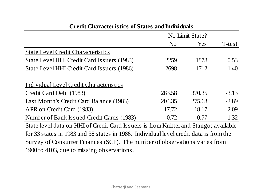| N <sub>o</sub><br>2259 | Yes<br>1878 | T-test                                                                               |
|------------------------|-------------|--------------------------------------------------------------------------------------|
|                        |             |                                                                                      |
|                        |             |                                                                                      |
|                        |             | 0.53                                                                                 |
| 2698                   | 1712        | 1.40                                                                                 |
|                        |             |                                                                                      |
| 283.58                 | 370.35      | $-3.13$                                                                              |
| 204.35                 | 275.63      | $-2.89$                                                                              |
| 17.72                  | 18.17       | $-2.09$                                                                              |
| 0.72                   | 0.77        | $-1.32$                                                                              |
|                        |             | State level data on HHI of Credit Card Issuers is from Knittel and Stango: available |

#### **Credit Characteristics of States and Individuals**

State level data on HHI of Credit Card Issuers is from Knittel and Stango; available for 33 states in 1983 and 38 states in 1986. Individual level credit data is from the Survey of Consumer Finances (SCF). The number of observations varies from 1900 to 4103, due to missing observations.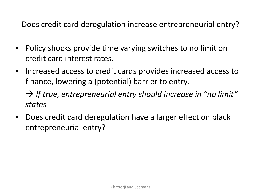Does credit card deregulation increase entrepreneurial entry?

- Policy shocks provide time varying switches to no limit on credit card interest rates.
- Increased access to credit cards provides increased access to finance, lowering a (potential) barrier to entry.

 *If true, entrepreneurial entry should increase in "no limit" states*

• Does credit card deregulation have a larger effect on black entrepreneurial entry?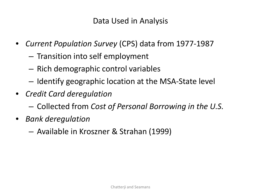Data Used in Analysis

- *Current Population Survey* (CPS) data from 1977-1987
	- Transition into self employment
	- Rich demographic control variables
	- Identify geographic location at the MSA-State level
- *Credit Card deregulation*
	- Collected from *Cost of Personal Borrowing in the U.S.*
- *Bank deregulation*
	- Available in Kroszner & Strahan (1999)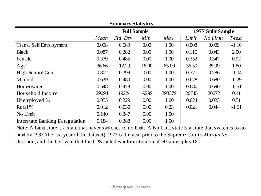| <b>Summary Statistics</b>              |                    |           |         |                   |       |          |         |
|----------------------------------------|--------------------|-----------|---------|-------------------|-------|----------|---------|
|                                        | <b>Full Sample</b> |           |         | 1977 Split Sample |       |          |         |
|                                        | Mean               | Std. Dev. | Min     | Max               | Limit | No Limit | T-test  |
| Trans. Self Employment                 | 0.008              | 0.089     | 0.00    | 1.00              | 0.008 | 0.009    | $-1.10$ |
| <b>Black</b>                           | 0.087              | 0.282     | 0.00    | 1.00              | 0.115 | 0.043    | 2.00    |
| Female                                 | 0.379              | 0.485     | 0.00    | 1.00              | 0.352 | 0.347    | 0.92    |
| Age                                    | 36.66              | 12.29     | 18.00   | 65.00             | 36.59 | 35.99    | 1.80    |
| High School Grad                       | 0.802              | 0.399     | 0.00    | 1.00              | 0.771 | 0.786    | $-1.04$ |
| Married                                | 0.639              | 0.480     | 0.00    | 1.00              | 0.678 | 0.680    | $-0.29$ |
| Homeowner                              | 0.648              | 0.478     | 0.00    | 1.00              | 0.680 | 0.690    | $-0.51$ |
| Household Income                       | 29094              | 19224     | $-9299$ | 393379            | 20745 | 20672    | 0.11    |
| Unemployed %                           | 0.055              | 0.229     | 0.00    | 1.00              | 0.024 | 0.023    | 0.51    |
| Rural %                                | 0.012              | 0.030     | 0.00    | 0.23              | 0.021 | 0.044    | $-1.61$ |
| No Limit                               | 0.140              | 0.347     | 0.00    | 1.00              |       |          |         |
| <b>Interstate Banking Deregulation</b> | 0.184              | 0.388     | 0.00    | 1.00              |       |          |         |

Note: A Limit state is a state that never switches to no limit. A No Limit state is a state that switches to no limit by 1987 (the last year of the dataset). 1977 is the year prior to the Supreme Court's *Marquette*  decision, and the first year that the CPS includes information on all 50 states plus DC.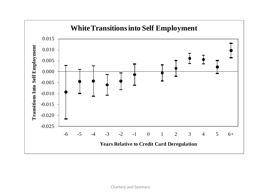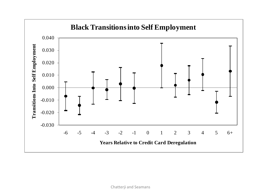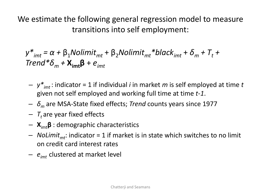We estimate the following general regression model to measure transitions into self employment:

 $y^*_{imt} = \alpha + \beta_1$ Nolimit<sub>mt</sub> +  $\beta_2$ Nolimit<sub>mt</sub>\*black<sub>imt</sub> +  $\delta_m$  +  $T_t$  + *Trend\*δ<sup>m</sup> +* **Ximtβ** + *eimt*

- *y\*imt* : indicator = 1 if individual *i* in market *m* is self employed at time *t* given not self employed and working full time at time *t-1*.
- *δ<sup>m</sup>* are MSA-State fixed effects; *Trend* counts years since 1977
- $T_t$  are year fixed effects
- **X**imt**β** : demographic characteristics
- $-$  *NoLimit<sub>mt</sub>*: indicator = 1 if market is in state which switches to no limit on credit card interest rates
- *eimt* clustered at market level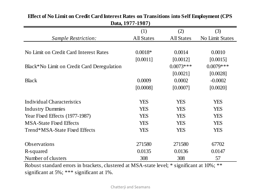| Dala, 17/11-1707                           |                   |                   |                 |  |  |
|--------------------------------------------|-------------------|-------------------|-----------------|--|--|
|                                            | (1)               | (2)               | (3)             |  |  |
| <i>Sample Restriction:</i>                 | <b>All States</b> | <b>All States</b> | No Limit States |  |  |
|                                            |                   |                   |                 |  |  |
| No Limit on Credit Card Interest Rates     | $0.0018*$         | 0.0014            | 0.0010          |  |  |
|                                            | [0.0011]          | [0.0012]          | [0.0015]        |  |  |
| Black*No Limit on Credit Card Deregulation |                   | $0.0073***$       | $0.0079***$     |  |  |
|                                            |                   | [0.0021]          | [0.0028]        |  |  |
| <b>Black</b>                               | 0.0009            | 0.0002            | $-0.0002$       |  |  |
|                                            | [0.0008]          | [0.0007]          | [0.0020]        |  |  |
|                                            |                   |                   |                 |  |  |
| Individual Characteristics                 | <b>YES</b>        | <b>YES</b>        | <b>YES</b>      |  |  |
| <b>Industry Dummies</b>                    | <b>YES</b>        | <b>YES</b>        | <b>YES</b>      |  |  |
| Year Fixed Effects (1977-1987)             | <b>YES</b>        | <b>YES</b>        | <b>YES</b>      |  |  |
| <b>MSA-State Fixed Effects</b>             | <b>YES</b>        | <b>YES</b>        | <b>YES</b>      |  |  |
| Trend*MSA-State Fixed Effects              | <b>YES</b>        | <b>YES</b>        | <b>YES</b>      |  |  |
|                                            |                   |                   |                 |  |  |
| Observations                               | 271580            | 271580            | 67702           |  |  |
| R-squared                                  | 0.0135            | 0.0136            | 0.0147          |  |  |
| Number of clusters                         | 308               | 308               | 57              |  |  |

#### **Effect of No Limit on Credit Card Interest Rates on Transitions into Self Employment (CPS**  Data, 1077-1087)

Robust standard errors in brackets, clustered at MSA-state level; \* significant at 10%; \*\* significant at 5%; \*\*\* significant at 1%.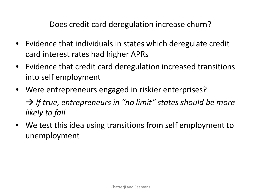Does credit card deregulation increase churn?

- Evidence that individuals in states which deregulate credit card interest rates had higher APRs
- Evidence that credit card deregulation increased transitions into self employment
- Were entrepreneurs engaged in riskier enterprises? → If true, entrepreneurs in "no limit" states should be more *likely to fail*
- We test this idea using transitions from self employment to unemployment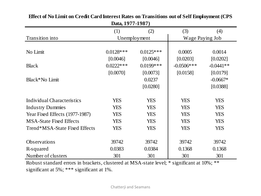|                                | (1)          | (2)          | (3)             | (4)         |
|--------------------------------|--------------|--------------|-----------------|-------------|
| Transition into                | Unemployment |              | Wage Paying Job |             |
|                                |              |              |                 |             |
| No Limit                       | $0.0128$ *** | $0.0125***$  | 0.0005          | 0.0014      |
|                                | [0.0046]     | [0.0046]     | [0.0203]        | [0.0202]    |
| <b>Black</b>                   | $0.0222$ *** | $0.0199$ *** | $-0.0506$ ***   | $-0.0441**$ |
|                                | [0.0070]     | [0.0073]     | [0.0158]        | [0.0179]    |
| Black*No Limit                 |              | 0.0237       |                 | $-0.0667*$  |
|                                |              | [0.0280]     |                 | [0.0388]    |
|                                |              |              |                 |             |
| Individual Characteristics     | <b>YES</b>   | <b>YES</b>   | <b>YES</b>      | <b>YES</b>  |
| <b>Industry Dummies</b>        | <b>YES</b>   | <b>YES</b>   | <b>YES</b>      | <b>YES</b>  |
| Year Fixed Effects (1977-1987) | <b>YES</b>   | <b>YES</b>   | <b>YES</b>      | <b>YES</b>  |
| <b>MSA-State Fixed Effects</b> | <b>YES</b>   | <b>YES</b>   | <b>YES</b>      | <b>YES</b>  |
| Trend*MSA-State Fixed Effects  | <b>YES</b>   | <b>YES</b>   | <b>YES</b>      | <b>YES</b>  |
|                                |              |              |                 |             |
| <b>Observations</b>            | 39742        | 39742        | 39742           | 39742       |
| R-squared                      | 0.0383       | 0.0384       | 0.1368          | 0.1368      |
| Number of clusters             | 301          | 301          | 301             | 301         |

**Effect of No Limit on Credit Card Interest Rates on Transitions out of Self Employment (CPS Data, 1977-1987)**

Robust standard errors in brackets, clustered at MSA-state level; \* significant at 10%; \*\* significant at 5%; \*\*\* significant at 1%.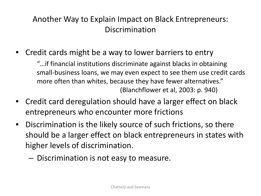## Another Way to Explain Impact on Black Entrepreneurs: Discrimination

• Credit cards might be a way to lower barriers to entry

"…if financial institutions discriminate against blacks in obtaining small-business loans, we may even expect to see them use credit cards more often than whites, because they have fewer alternatives." (Blanchflower et al, 2003: p. 940)

- Credit card deregulation should have a larger effect on black entrepreneurs who encounter more frictions
- Discrimination is the likely source of such frictions, so there should be a larger effect on black entrepreneurs in states with higher levels of discrimination.
	- Discrimination is not easy to measure.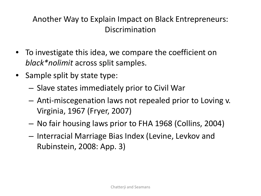## Another Way to Explain Impact on Black Entrepreneurs: Discrimination

- To investigate this idea, we compare the coefficient on *black\*nolimit* across split samples.
- Sample split by state type:
	- Slave states immediately prior to Civil War
	- Anti-miscegenation laws not repealed prior to Loving v. Virginia, 1967 (Fryer, 2007)
	- No fair housing laws prior to FHA 1968 (Collins, 2004)
	- Interracial Marriage Bias Index (Levine, Levkov and Rubinstein, 2008: App. 3)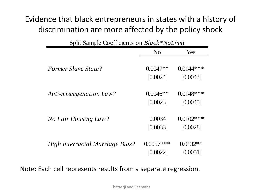## Evidence that black entrepreneurs in states with a history of discrimination are more affected by the policy shock

| Split Sample Coemercius on <i>Butch</i><br>$1$ v $0$ Linii |                |              |  |  |
|------------------------------------------------------------|----------------|--------------|--|--|
|                                                            | N <sub>0</sub> | Yes          |  |  |
|                                                            |                |              |  |  |
| <i>Former Slave State?</i>                                 | $0.0047**$     | $0.0144***$  |  |  |
|                                                            | [0.0024]       | [0.0043]     |  |  |
| <b>Anti-miscegenation Law?</b>                             | $0.0046**$     | $0.0148$ *** |  |  |
|                                                            | [0.0023]       | [0.0045]     |  |  |
| No Fair Housing Law?                                       | 0.0034         | $0.0102$ *** |  |  |
|                                                            | [0.0033]       | [0.0028]     |  |  |
| High Interracial Marriage Bias?                            | $0.0057$ ***   | $0.0132**$   |  |  |
|                                                            | [0.0022]       | [0.0051]     |  |  |

Split Sample Coefficients on *Black\*NoLimit*

Note: Each cell represents results from a separate regression.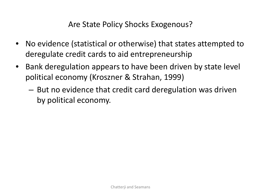#### Are State Policy Shocks Exogenous?

- No evidence (statistical or otherwise) that states attempted to deregulate credit cards to aid entrepreneurship
- Bank deregulation appears to have been driven by state level political economy (Kroszner & Strahan, 1999)
	- But no evidence that credit card deregulation was driven by political economy.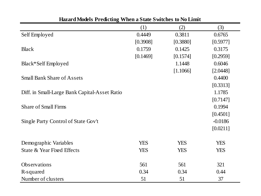|                                               | (1)        | (2)        | (3)        |
|-----------------------------------------------|------------|------------|------------|
| Self Employed                                 | 0.4449     | 0.3811     | 0.6765     |
|                                               | [0.3908]   | [0.3880]   | [0.5977]   |
| <b>Black</b>                                  | 0.1759     | 0.1425     | 0.3175     |
|                                               | [0.1469]   | [0.1574]   | [0.2959]   |
| Black*Self Employed                           |            | 1.1448     | 0.6046     |
|                                               |            | [1.1066]   | [2.0448]   |
| <b>Small Bank Share of Assets</b>             |            |            | 0.4400     |
|                                               |            |            | [0.3313]   |
| Diff. in Small-Large Bank Capital-Asset Ratio |            |            | 1.1785     |
|                                               |            |            | [0.7147]   |
| <b>Share of Small Firms</b>                   |            |            | 0.1994     |
|                                               |            |            | [0.4501]   |
| Single Party Control of State Gov't           |            |            | $-0.0186$  |
|                                               |            |            | [0.0211]   |
|                                               |            |            |            |
| Demographic Variables                         | <b>YES</b> | <b>YES</b> | <b>YES</b> |
| State & Year Fixed Effects                    | <b>YES</b> | <b>YES</b> | <b>YES</b> |
|                                               |            |            |            |
| Observations                                  | 561        | 561        | 321        |
| R-squared                                     | 0.34       | 0.34       | 0.44       |
| Number of clusters                            | 51         | 51         | 37         |

#### **Hazard Models Predicting When a State Switches to No Limit**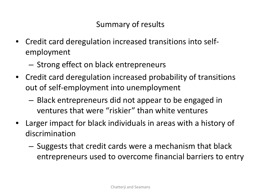## Summary of results

- Credit card deregulation increased transitions into selfemployment
	- Strong effect on black entrepreneurs
- Credit card deregulation increased probability of transitions out of self-employment into unemployment
	- Black entrepreneurs did not appear to be engaged in ventures that were "riskier" than white ventures
- Larger impact for black individuals in areas with a history of discrimination
	- Suggests that credit cards were a mechanism that black entrepreneurs used to overcome financial barriers to entry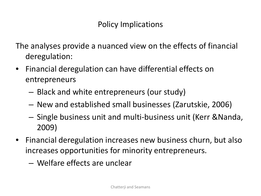#### Policy Implications

The analyses provide a nuanced view on the effects of financial deregulation:

- Financial deregulation can have differential effects on entrepreneurs
	- Black and white entrepreneurs (our study)
	- New and established small businesses (Zarutskie, 2006)
	- Single business unit and multi-business unit (Kerr &Nanda, 2009)
- Financial deregulation increases new business churn, but also increases opportunities for minority entrepreneurs.
	- Welfare effects are unclear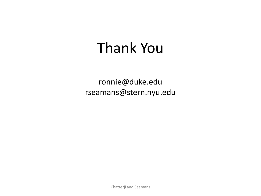## Thank You

ronnie@duke.edu rseamans@stern.nyu.edu

Chatterji and Seamans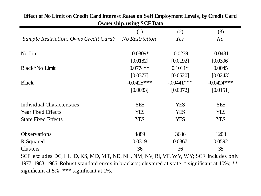| OMICI SHIP, USHIG DUI DAIA                   |                       |              |              |  |  |
|----------------------------------------------|-----------------------|--------------|--------------|--|--|
|                                              | (1)                   | (2)          | (3)          |  |  |
| <b>Sample Restriction: Owns Credit Card?</b> | <b>No Restriction</b> | Yes          | N o          |  |  |
|                                              |                       |              |              |  |  |
| No Limit                                     | $-0.0309*$            | $-0.0239$    | $-0.0481$    |  |  |
|                                              | [0.0182]              | [0.0192]     | [0.0306]     |  |  |
| Black*No Limit                               | $0.0774**$            | $0.1011*$    | 0.0045       |  |  |
|                                              | [0.0377]              | [0.0520]     | [0.0243]     |  |  |
| <b>Black</b>                                 | $-0.0425***$          | $-0.0441***$ | $-0.0424***$ |  |  |
|                                              | [0.0083]              | [0.0072]     | [0.0151]     |  |  |
| Individual Characteristics                   | <b>YES</b>            | <b>YES</b>   | <b>YES</b>   |  |  |
| <b>Year Fixed Effects</b>                    | <b>YES</b>            | <b>YES</b>   | <b>YES</b>   |  |  |
| <b>State Fixed Effects</b>                   | <b>YES</b>            | <b>YES</b>   | <b>YES</b>   |  |  |
| Observations                                 | 4889                  | 3686         | 1203         |  |  |
| R-Squared                                    | 0.0319                | 0.0367       | 0.0592       |  |  |
| Clusters                                     | 36                    | 36           | 35           |  |  |

#### **Effect of No Limit on Credit Card Interest Rates on Self Employment Levels, by Credit Card Ownership, using SCF Data**

SCF excludes DC, HI, ID, KS, MD, MT, ND, NH, NM, NV, RI, VT, WV, WY; SCF includes only 1977, 1983, 1986. Robust standard errors in brackets; clustered at state. \* significant at 10%; \*\* significant at 5%; \*\*\* significant at 1%.